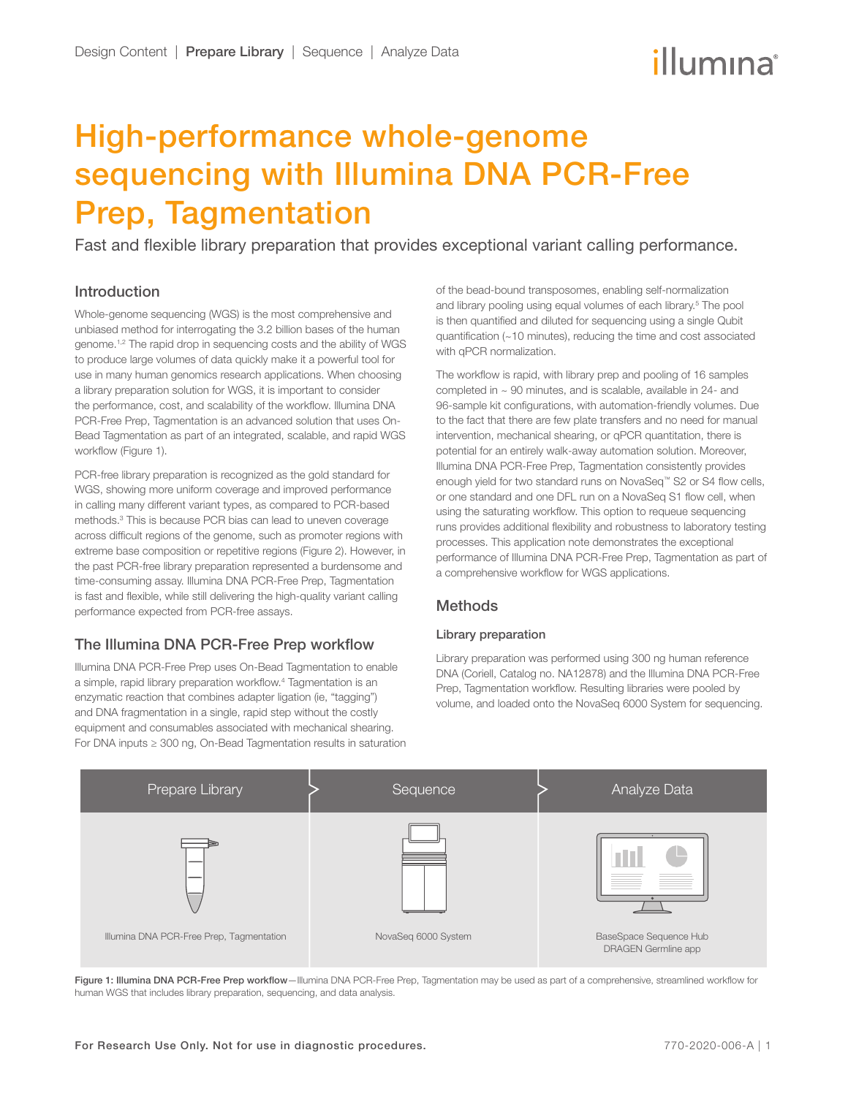# High-performance whole-genome sequencing with Illumina DNA PCR-Free Prep, Tagmentation

Fast and flexible library preparation that provides exceptional variant calling performance.

# Introduction

Whole-genome sequencing (WGS) is the most comprehensive and unbiased method for interrogating the 3.2 billion bases of the human genome.<sup>1[,2](#page-3-2)</sup> The rapid drop in sequencing costs and the ability of WGS to produce large volumes of data quickly make it a powerful tool for use in many human genomics research applications. When choosing a library preparation solution for WGS, it is important to consider the performance, cost, and scalability of the workflow. Illumina DNA PCR-Free Prep, Tagmentation is an advanced solution that uses On-Bead Tagmentation as part of an integrated, scalable, and rapid WGS workflow (Figure 1).

PCR-free library preparation is recognized as the gold standard for WGS, showing more uniform coverage and improved performance in calling many different variant types, as compared to PCR-based methods.[3](#page-3-3) This is because PCR bias can lead to uneven coverage across difficult regions of the genome, such as promoter regions with extreme base composition or repetitive regions (Figure 2). However, in the past PCR-free library preparation represented a burdensome and time-consuming assay. Illumina DNA PCR-Free Prep, Tagmentation is fast and flexible, while still delivering the high-quality variant calling performance expected from PCR-free assays.

# The Illumina DNA PCR-Free Prep workflow

Illumina DNA PCR-Free Prep uses On-Bead Tagmentation to enable a simple, rapid library preparation workflow[.4](#page-3-4) Tagmentation is an enzymatic reaction that combines adapter ligation (ie, "tagging") and DNA fragmentation in a single, rapid step without the costly equipment and consumables associated with mechanical shearing. For DNA inputs ≥ 300 ng, On-Bead Tagmentation results in saturation of the bead-bound transposomes, enabling self-normalization and library pooling using equal volumes of each library.<sup>5</sup> The pool is then quantified and diluted for sequencing using a single Qubit quantification (~10 minutes), reducing the time and cost associated with qPCR normalization.

The workflow is rapid, with library prep and pooling of 16 samples completed in ~ 90 minutes, and is scalable, available in 24- and 96-sample kit configurations, with automation-friendly volumes. Due to the fact that there are few plate transfers and no need for manual intervention, mechanical shearing, or qPCR quantitation, there is potential for an entirely walk-away automation solution. Moreover, Illumina DNA PCR-Free Prep, Tagmentation consistently provides enough yield for two standard runs on NovaSeq™ S2 or S4 flow cells, or one standard and one DFL run on a NovaSeq S1 flow cell, when using the saturating workflow. This option to requeue sequencing runs provides additional flexibility and robustness to laboratory testing processes. This application note demonstrates the exceptional performance of Illumina DNA PCR-Free Prep, Tagmentation as part of a comprehensive workflow for WGS applications.

# Methods

## Library preparation

Library preparation was performed using 300 ng human reference DNA (Coriell, Catalog no. NA12878) and the Illumina DNA PCR-Free Prep, Tagmentation workflow. Resulting libraries were pooled by volume, and loaded onto the NovaSeq 6000 System for sequencing.



Figure 1: Illumina DNA PCR-Free Prep workflow-Illumina DNA PCR-Free Prep, Tagmentation may be used as part of a comprehensive, streamlined workflow for human WGS that includes library preparation, sequencing, and data analysis.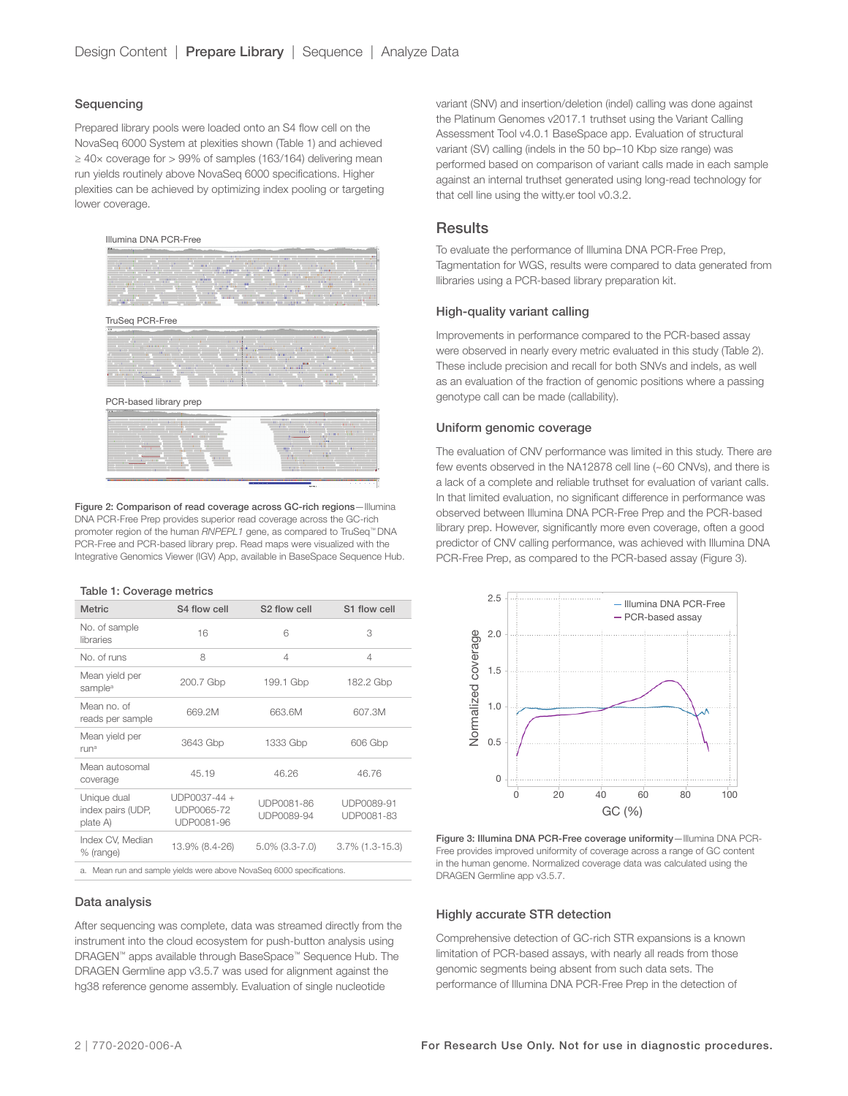## Sequencing

Prepared library pools were loaded onto an S4 flow cell on the NovaSeq 6000 System at plexities shown (Table 1) and achieved ≥ 40× coverage for > 99% of samples (163/164) delivering mean run yields routinely above NovaSeq 6000 specifications. Higher plexities can be achieved by optimizing index pooling or targeting lower coverage.

#### Illumina DNA PCR-Free



TruSeq PCR-Free



PCR-based library prep



Figure 2: Comparison of read coverage across GC-rich regions—Illumina DNA PCR-Free Prep provides superior read coverage across the GC-rich promoter region of the human *RNPEPL1* gene, as compared to TruSeq™ DNA PCR-Free and PCR-based library prep. Read maps were visualized with the Integrative Genomics Viewer (IGV) App, available in BaseSpace Sequence Hub.

#### Table 1: Coverage metrics

| <b>Metric</b>                                | S4 flow cell                             | S <sub>2</sub> flow cell | S1 flow cell             |
|----------------------------------------------|------------------------------------------|--------------------------|--------------------------|
| No. of sample<br>libraries                   | 16                                       | 6                        | 3                        |
| No. of runs                                  | 8                                        | $\overline{4}$           | 4                        |
| Mean yield per<br>sample <sup>a</sup>        | 200.7 Gbp                                | 199.1 Gbp                | 182.2 Gbp                |
| Mean no. of<br>reads per sample              | 669.2M                                   | 663.6M                   | 607.3M                   |
| Mean yield per<br>runa                       | 3643 Gbp                                 | 1333 Gbp                 | 606 Gbp                  |
| Mean autosomal<br>coverage                   | 45.19                                    | 46.26                    | 46.76                    |
| Unique dual<br>index pairs (UDP,<br>plate A) | UDP0037-44 +<br>UDP0065-72<br>UDP0081-96 | UDP0081-86<br>UDP0089-94 | UDP0089-91<br>UDP0081-83 |
| Index CV, Median<br>% (range)                | 13.9% (8.4-26)                           | $5.0\%$ (3.3-7.0)        | $3.7\%$ (1.3-15.3)       |
|                                              |                                          |                          |                          |

a. Mean run and sample yields were above NovaSeq 6000 specifications.

#### Data analysis

After sequencing was complete, data was streamed directly from the instrument into the cloud ecosystem for push-button analysis using DRAGEN™ apps available through BaseSpace™ Sequence Hub. The DRAGEN Germline app v3.5.7 was used for alignment against the hg38 reference genome assembly. Evaluation of single nucleotide

variant (SNV) and insertion/deletion (indel) calling was done against the Platinum Genomes v2017.1 truthset using the Variant Calling Assessment Tool v4.0.1 BaseSpace app. Evaluation of structural variant (SV) calling (indels in the 50 bp–10 Kbp size range) was performed based on comparison of variant calls made in each sample against an internal truthset generated using long-read technology for that cell line using the witty.er tool v0.3.2.

## **Results**

To evaluate the performance of Illumina DNA PCR-Free Prep, Tagmentation for WGS, results were compared to data generated from llibraries using a PCR-based library preparation kit.

### High-quality variant calling

Improvements in performance compared to the PCR-based assay were observed in nearly every metric evaluated in this study (Table 2). These include precision and recall for both SNVs and indels, as well as an evaluation of the fraction of genomic positions where a passing genotype call can be made (callability).

#### Uniform genomic coverage

The evaluation of CNV performance was limited in this study. There are few events observed in the NA12878 cell line (~60 CNVs), and there is a lack of a complete and reliable truthset for evaluation of variant calls. In that limited evaluation, no significant difference in performance was observed between Illumina DNA PCR-Free Prep and the PCR-based library prep. However, significantly more even coverage, often a good predictor of CNV calling performance, was achieved with Illumina DNA PCR-Free Prep, as compared to the PCR-based assay (Figure 3).



Figure 3: Illumina DNA PCR-Free coverage uniformity—Illumina DNA PCR-Free provides improved uniformity of coverage across a range of GC content in the human genome. Normalized coverage data was calculated using the DRAGEN Germline app v3.5.7.

## Highly accurate STR detection

Comprehensive detection of GC-rich STR expansions is a known limitation of PCR-based assays, with nearly all reads from those genomic segments being absent from such data sets. The performance of Illumina DNA PCR-Free Prep in the detection of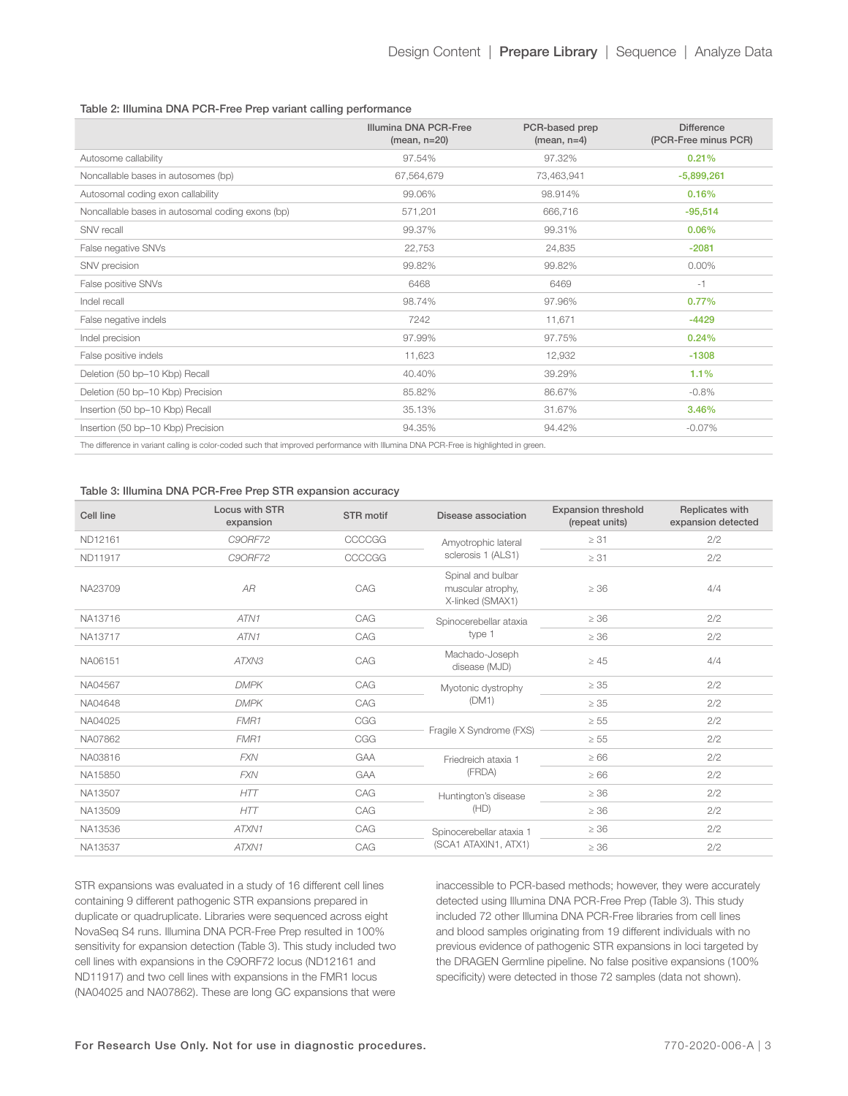### Table 2: Illumina DNA PCR-Free Prep variant calling performance

|                                                                                                                                     | Illumina DNA PCR-Free<br>$(mean, n=20)$ | PCR-based prep<br>$(mean, n=4)$ | <b>Difference</b><br>(PCR-Free minus PCR) |  |  |  |
|-------------------------------------------------------------------------------------------------------------------------------------|-----------------------------------------|---------------------------------|-------------------------------------------|--|--|--|
| Autosome callability                                                                                                                | 97.54%                                  | 97.32%                          | 0.21%                                     |  |  |  |
| Noncallable bases in autosomes (bp)                                                                                                 | 67,564,679                              | 73,463,941                      | $-5,899,261$                              |  |  |  |
| Autosomal coding exon callability                                                                                                   | 99.06%                                  | 98.914%                         | 0.16%                                     |  |  |  |
| Noncallable bases in autosomal coding exons (bp)                                                                                    | 571,201                                 | 666,716                         | $-95,514$                                 |  |  |  |
| SNV recall                                                                                                                          | 99.37%                                  | 99.31%                          | 0.06%                                     |  |  |  |
| False negative SNVs                                                                                                                 | 22,753                                  | 24,835                          | $-2081$                                   |  |  |  |
| SNV precision                                                                                                                       | 99.82%                                  | 99.82%                          | $0.00\%$                                  |  |  |  |
| False positive SNVs                                                                                                                 | 6468                                    | 6469                            | $-1$                                      |  |  |  |
| Indel recall                                                                                                                        | 98.74%                                  | 97.96%                          | 0.77%                                     |  |  |  |
| False negative indels                                                                                                               | 7242                                    | 11,671                          | $-4429$                                   |  |  |  |
| Indel precision                                                                                                                     | 97.99%                                  | 97.75%                          | 0.24%                                     |  |  |  |
| False positive indels                                                                                                               | 11,623                                  | 12,932                          | $-1308$                                   |  |  |  |
| Deletion (50 bp-10 Kbp) Recall                                                                                                      | 40.40%                                  | 39.29%                          | 1.1%                                      |  |  |  |
| Deletion (50 bp-10 Kbp) Precision                                                                                                   | 85.82%                                  | 86.67%                          | $-0.8%$                                   |  |  |  |
| Insertion (50 bp-10 Kbp) Recall                                                                                                     | 35.13%                                  | 31.67%                          | 3.46%                                     |  |  |  |
| Insertion (50 bp-10 Kbp) Precision                                                                                                  | 94.35%                                  | 94.42%                          | $-0.07\%$                                 |  |  |  |
| The difference in variant calling is color-coded such that improved performance with Illumina DNA PCR-Free is highlighted in green. |                                         |                                 |                                           |  |  |  |

## Table 3: Illumina DNA PCR-Free Prep STR expansion accuracy

| Cell line | Locus with STR<br>expansion | STR motif  | Disease association                                        | <b>Expansion threshold</b><br>(repeat units) | Replicates with<br>expansion detected |
|-----------|-----------------------------|------------|------------------------------------------------------------|----------------------------------------------|---------------------------------------|
| ND12161   | C90RF72                     | CCCCGG     | Amyotrophic lateral<br>sclerosis 1 (ALS1)                  | $\geq 31$                                    | 2/2                                   |
| ND11917   | C90RF72                     | CCCCGG     |                                                            | $\geq 31$                                    | 2/2                                   |
| NA23709   | AR                          | CAG        | Spinal and bulbar<br>muscular atrophy,<br>X-linked (SMAX1) | $\geq 36$                                    | 4/4                                   |
| NA13716   | ATN1                        | CAG        | Spinocerebellar ataxia                                     | $\geq 36$                                    | 2/2                                   |
| NA13717   | ATN1                        | CAG        | type 1                                                     | $\geq 36$                                    | 2/2                                   |
| NA06151   | ATXN3                       | CAG        | Machado-Joseph<br>disease (MJD)                            | $\geq 45$                                    | 4/4                                   |
| NA04567   | <b>DMPK</b>                 | CAG        | Myotonic dystrophy<br>(DM1)                                | $\geq 35$                                    | 2/2                                   |
| NA04648   | <b>DMPK</b>                 | CAG        |                                                            | $\geq 35$                                    | 2/2                                   |
| NA04025   | FMR1                        | CGG        | Fragile X Syndrome (FXS)                                   | $\geq 55$                                    | 2/2                                   |
| NA07862   | FMR1                        | CGG        |                                                            | $\geq 55$                                    | 2/2                                   |
| NA03816   | <b>FXN</b>                  | <b>GAA</b> | Friedreich ataxia 1<br>(FRDA)                              | $\geq 66$                                    | 2/2                                   |
| NA15850   | <b>FXN</b>                  | <b>GAA</b> |                                                            | $\geq 66$                                    | 2/2                                   |
| NA13507   | HTT                         | CAG        | Huntington's disease                                       | $\geq 36$                                    | 2/2                                   |
| NA13509   | HTT                         | CAG        | (HD)                                                       | $\geq 36$                                    | 2/2                                   |
| NA13536   | ATXN1                       | CAG        | Spinocerebellar ataxia 1<br>(SCA1 ATAXIN1, ATX1)           | $\geq 36$                                    | 2/2                                   |
| NA13537   | ATXN1                       | CAG        |                                                            | $\geq 36$                                    | 2/2                                   |

STR expansions was evaluated in a study of 16 different cell lines containing 9 different pathogenic STR expansions prepared in duplicate or quadruplicate. Libraries were sequenced across eight NovaSeq S4 runs. Illumina DNA PCR-Free Prep resulted in 100% sensitivity for expansion detection (Table 3). This study included two cell lines with expansions in the C9ORF72 locus (ND12161 and ND11917) and two cell lines with expansions in the FMR1 locus (NA04025 and NA07862). These are long GC expansions that were

inaccessible to PCR-based methods; however, they were accurately detected using Illumina DNA PCR-Free Prep (Table 3). This study included 72 other Illumina DNA PCR-Free libraries from cell lines and blood samples originating from 19 different individuals with no previous evidence of pathogenic STR expansions in loci targeted by the DRAGEN Germline pipeline. No false positive expansions (100% specificity) were detected in those 72 samples (data not shown).